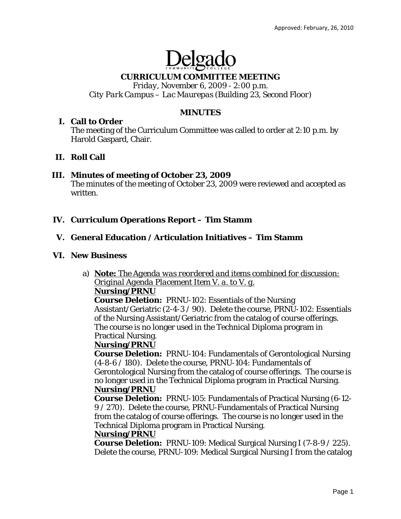# Delga

# **CURRICULUM COMMITTEE MEETING**

*Friday, November 6, 2009 - 2:00 p.m. City Park Campus – Lac Maurepas (Building 23, Second Floor)* 

#### **MINUTES**

## **I. Call to Order**

The meeting of the Curriculum Committee was called to order at 2:10 p.m. by Harold Gaspard, Chair.

## **II. Roll Call**

## **III. Minutes of meeting of October 23, 2009**

The minutes of the meeting of October 23, 2009 were reviewed and accepted as written.

## **IV. Curriculum Operations Report – Tim Stamm**

## **V. General Education / Articulation Initiatives – Tim Stamm**

#### **VI. New Business**

a) *Note: The Agenda was reordered and items combined for discussion: Original Agenda Placement Item V. a. to V. g.* **Nursing/PRNU**

**Course Deletion:** PRNU-102: Essentials of the Nursing Assistant/Geriatric (2-4-3 / 90). Delete the course, PRNU-102: Essentials of the Nursing Assistant/Geriatric from the catalog of course offerings. The course is no longer used in the Technical Diploma program in Practical Nursing.

#### **Nursing/PRNU**

**Course Deletion:** PRNU-104: Fundamentals of Gerontological Nursing (4-8-6 / 180). Delete the course, PRNU-104: Fundamentals of Gerontological Nursing from the catalog of course offerings. The course is no longer used in the Technical Diploma program in Practical Nursing. **Nursing/PRNU**

**Course Deletion:** PRNU-105: Fundamentals of Practical Nursing (6-12- 9 / 270). Delete the course, PRNU-Fundamentals of Practical Nursing from the catalog of course offerings. The course is no longer used in the Technical Diploma program in Practical Nursing.

#### **Nursing/PRNU**

**Course Deletion:** PRNU-109: Medical Surgical Nursing I (7-8-9 / 225). Delete the course, PRNU-109: Medical Surgical Nursing I from the catalog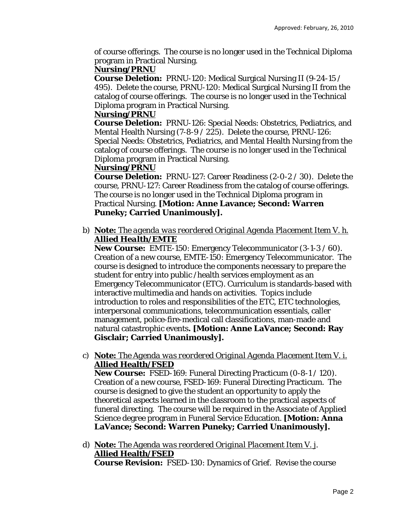of course offerings. The course is no longer used in the Technical Diploma program in Practical Nursing.

#### **Nursing/PRNU**

**Course Deletion:** PRNU-120: Medical Surgical Nursing II (9-24-15 / 495). Delete the course, PRNU-120: Medical Surgical Nursing II from the catalog of course offerings. The course is no longer used in the Technical Diploma program in Practical Nursing.

## **Nursing/PRNU**

**Course Deletion:** PRNU-126: Special Needs: Obstetrics, Pediatrics, and Mental Health Nursing (7-8-9 / 225). Delete the course, PRNU-126: Special Needs: Obstetrics, Pediatrics, and Mental Health Nursing from the catalog of course offerings. The course is no longer used in the Technical Diploma program in Practical Nursing.

## **Nursing/PRNU**

**Course Deletion:** PRNU-127: Career Readiness (2-0-2 / 30). Delete the course, PRNU-127: Career Readiness from the catalog of course offerings. The course is no longer used in the Technical Diploma program in Practical Nursing. **[Motion: Anne Lavance; Second: Warren Puneky; Carried Unanimously].** 

b) *Note: The agenda was reordered Original Agenda Placement Item V. h. Allied Health/EMTE*

**New Course:** EMTE-150: Emergency Telecommunicator (3-1-3 / 60). Creation of a new course, EMTE-150: Emergency Telecommunicator. The course is designed to introduce the components necessary to prepare the student for entry into public /health services employment as an Emergency Telecommunicator (ETC). Curriculum is standards-based with interactive multimedia and hands on activities. Topics include introduction to roles and responsibilities of the ETC, ETC technologies, interpersonal communications, telecommunication essentials, caller management, police-fire-medical call classifications, man-made and natural catastrophic events**. [Motion: Anne LaVance; Second: Ray Gisclair; Carried Unanimously].** 

c) *Note: The Agenda was reordered Original Agenda Placement Item V. i.*  **Allied Health/FSED**

**New Course:** FSED-169: Funeral Directing Practicum (0-8-1 / 120). Creation of a new course, FSED-169: Funeral Directing Practicum. The course is designed to give the student an opportunity to apply the theoretical aspects learned in the classroom to the practical aspects of funeral directing. The course will be required in the Associate of Applied Science degree program in Funeral Service Education. **[Motion: Anna LaVance; Second: Warren Puneky; Carried Unanimously].**

d) *Note: The Agenda was reordered Original Placement Item V. j*. **Allied Health/FSED Course Revision:** FSED-130: Dynamics of Grief. Revise the course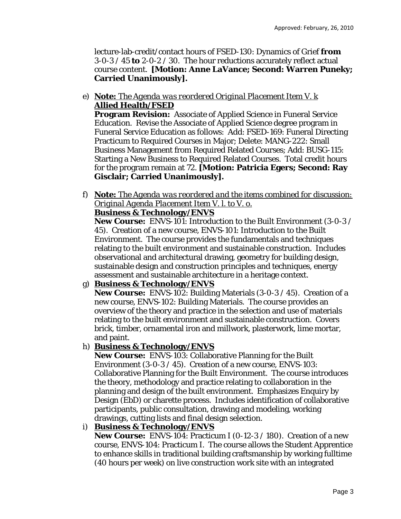lecture-lab-credit/contact hours of FSED-130: Dynamics of Grief **from** 3-0-3 / 45 **to** 2-0-2 / 30. The hour reductions accurately reflect actual course content. **[Motion: Anne LaVance; Second: Warren Puneky; Carried Unanimously].** 

e) *Note: The Agenda was reordered Original Placement Item V. k* **Allied Health/FSED**

**Program Revision:** Associate of Applied Science in Funeral Service Education. Revise the Associate of Applied Science degree program in Funeral Service Education as follows: Add: FSED-169: Funeral Directing Practicum to Required Courses in Major; Delete: MANG-222: Small Business Management from Required Related Courses; Add: BUSG-115: Starting a New Business to Required Related Courses. Total credit hours for the program remain at 72. **[Motion: Patricia Egers; Second: Ray Gisclair; Carried Unanimously].** 

f) *Note: The Agenda was reordered and the items combined for discussion: Original Agenda Placement Item V. l. to V. o.*

# **Business & Technology/ENVS**

**New Course:** ENVS-101: Introduction to the Built Environment (3-0-3 / 45). Creation of a new course, ENVS-101: Introduction to the Built Environment. The course provides the fundamentals and techniques relating to the built environment and sustainable construction. Includes observational and architectural drawing, geometry for building design, sustainable design and construction principles and techniques, energy assessment and sustainable architecture in a heritage context.

## g) **Business & Technology/ENVS**

**New Course:** ENVS-102: Building Materials (3-0-3 / 45). Creation of a new course, ENVS-102: Building Materials. The course provides an overview of the theory and practice in the selection and use of materials relating to the built environment and sustainable construction. Covers brick, timber, ornamental iron and millwork, plasterwork, lime mortar, and paint.

## h) **Business & Technology/ENVS**

**New Course:** ENVS-103: Collaborative Planning for the Built Environment (3-0-3 / 45). Creation of a new course, ENVS-103: Collaborative Planning for the Built Environment. The course introduces the theory, methodology and practice relating to collaboration in the planning and design of the built environment. Emphasizes Enquiry by Design (EbD) or charette process. Includes identification of collaborative participants, public consultation, drawing and modeling, working drawings, cutting lists and final design selection.

## i) **Business & Technology/ENVS**

**New Course:** ENVS-104: Practicum I (0-12-3 / 180). Creation of a new course, ENVS-104: Practicum I. The course allows the Student Apprentice to enhance skills in traditional building craftsmanship by working fulltime (40 hours per week) on live construction work site with an integrated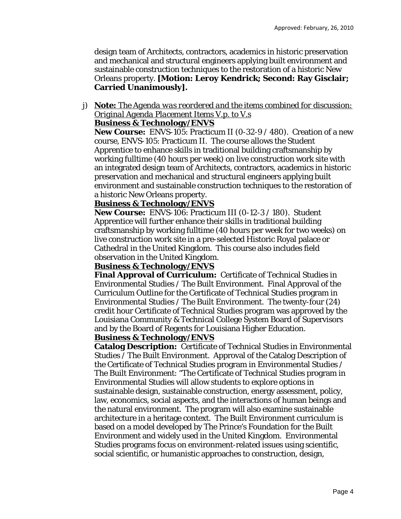design team of Architects, contractors, academics in historic preservation and mechanical and structural engineers applying built environment and sustainable construction techniques to the restoration of a historic New Orleans property. **[Motion: Leroy Kendrick; Second: Ray Gisclair; Carried Unanimously].** 

# j) *Note: The Agenda was reordered and the items combined for discussion: Original Agenda Placement Items V.p. to V.s*

#### **Business & Technology/ENVS**

**New Course:** ENVS-105: Practicum II (0-32-9 / 480). Creation of a new course, ENVS-105: Practicum II. The course allows the Student Apprentice to enhance skills in traditional building craftsmanship by working fulltime (40 hours per week) on live construction work site with an integrated design team of Architects, contractors, academics in historic preservation and mechanical and structural engineers applying built environment and sustainable construction techniques to the restoration of a historic New Orleans property.

#### **Business & Technology/ENVS**

**New Course:** ENVS-106: Practicum III (0-12-3 / 180). Student Apprentice will further enhance their skills in traditional building craftsmanship by working fulltime (40 hours per week for two weeks) on live construction work site in a pre-selected Historic Royal palace or Cathedral in the United Kingdom. This course also includes field observation in the United Kingdom.

#### **Business & Technology/ENVS**

**Final Approval of Curriculum:** Certificate of Technical Studies in Environmental Studies / The Built Environment. Final Approval of the Curriculum Outline for the Certificate of Technical Studies program in Environmental Studies / The Built Environment. The twenty-four (24) credit hour Certificate of Technical Studies program was approved by the Louisiana Community & Technical College System Board of Supervisors and by the Board of Regents for Louisiana Higher Education.

#### **Business & Technology/ENVS**

**Catalog Description:** Certificate of Technical Studies in Environmental Studies / The Built Environment. Approval of the Catalog Description of the Certificate of Technical Studies program in Environmental Studies / The Built Environment: "The Certificate of Technical Studies program in Environmental Studies will allow students to explore options in sustainable design, sustainable construction, energy assessment, policy, law, economics, social aspects, and the interactions of human beings and the natural environment. The program will also examine sustainable architecture in a heritage context. The Built Environment curriculum is based on a model developed by The Prince's Foundation for the Built Environment and widely used in the United Kingdom. Environmental Studies programs focus on environment-related issues using scientific, social scientific, or humanistic approaches to construction, design,